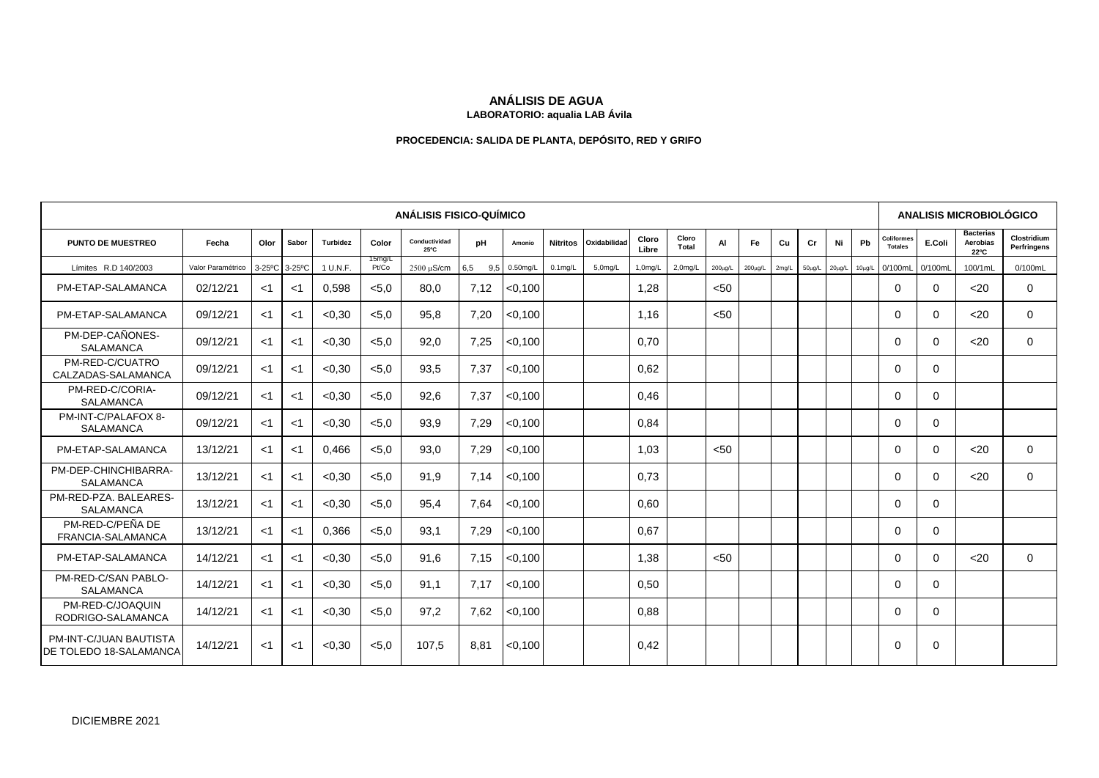# **ANÁLISIS DE AGUA**

### **LABORATORIO: aqualia LAB Ávila**

## **PROCEDENCIA: SALIDA DE PLANTA, DEPÓSITO, RED Y GRIFO**

| <b>ANÁLISIS FISICO-QUÍMICO</b>                          |                   |       |               |          |                 |                       |            |          |                 |              |                     |                     |               |               | ANALISIS MICROBIOLÓGICO |              |             |             |                                     |          |                                      |                            |
|---------------------------------------------------------|-------------------|-------|---------------|----------|-----------------|-----------------------|------------|----------|-----------------|--------------|---------------------|---------------------|---------------|---------------|-------------------------|--------------|-------------|-------------|-------------------------------------|----------|--------------------------------------|----------------------------|
| <b>PUNTO DE MUESTREO</b>                                | Fecha             | Olor  | Sabor         | Turbidez | Color           | Conductividad<br>25°C | pH         | Amonio   | <b>Nitritos</b> | Oxidabilidad | Cloro<br>Libre      | Cloro<br>Total      | <b>AI</b>     | Fe            | Cu                      | Cr           | Ni          | Pb          | <b>Coliformes</b><br><b>Totales</b> | E.Coli   | <b>Bacterias</b><br>Aerobias<br>22°C | Clostridium<br>Perfringens |
| Límites R.D 140/2003                                    | Valor Paramétrico |       | 3-25°C 3-25°C | 1 U.N.F. | 15mg/L<br>Pt/Co | $2500 \mu S/cm$       | 6,5<br>9.5 | 0.50mg/L | $0.1$ mg/L      | 5,0mg/L      | 1.0 <sub>mq/L</sub> | 2.0 <sub>mq/L</sub> | $200 \mu g/L$ | $200 \mu g/L$ | 2mg/L                   | $50 \mu g/L$ | $20\mu g/L$ | $10\mu g/L$ | 0/100mL                             | 0/100mL  | 100/1mL                              | 0/100mL                    |
| PM-ETAP-SALAMANCA                                       | 02/12/21          | <1    | <1            | 0,598    | < 5.0           | 80,0                  | 7,12       | < 0.100  |                 |              | 1.28                |                     | < 50          |               |                         |              |             |             | $\Omega$                            | $\Omega$ | $20$                                 | $\mathbf 0$                |
| PM-ETAP-SALAMANCA                                       | 09/12/21          | $<$ 1 | $<$ 1         | < 0.30   | < 5.0           | 95,8                  | 7,20       | < 0.100  |                 |              | 1.16                |                     | < 50          |               |                         |              |             |             | $\Omega$                            | $\Omega$ | $20$                                 | $\Omega$                   |
| PM-DEP-CAÑONES-<br><b>SALAMANCA</b>                     | 09/12/21          | ا>    | $<$ 1         | < 0.30   | < 5.0           | 92,0                  | 7,25       | < 0.100  |                 |              | 0.70                |                     |               |               |                         |              |             |             | $\Omega$                            | $\Omega$ | $20$                                 | $\Omega$                   |
| PM-RED-C/CUATRO<br>CALZADAS-SALAMANCA                   | 09/12/21          | $<$ 1 | $<$ 1         | < 0.30   | < 5.0           | 93.5                  | 7.37       | < 0.100  |                 |              | 0.62                |                     |               |               |                         |              |             |             | $\Omega$                            | $\Omega$ |                                      |                            |
| PM-RED-C/CORIA-<br><b>SALAMANCA</b>                     | 09/12/21          | $<$ 1 | $<$ 1         | < 0.30   | < 5.0           | 92,6                  | 7,37       | < 0.100  |                 |              | 0.46                |                     |               |               |                         |              |             |             | $\Omega$                            | $\Omega$ |                                      |                            |
| PM-INT-C/PALAFOX 8-<br>SALAMANCA                        | 09/12/21          | $<$ 1 | $<$ 1         | < 0.30   | < 5.0           | 93,9                  | 7,29       | < 0.100  |                 |              | 0.84                |                     |               |               |                         |              |             |             | $\Omega$                            | $\Omega$ |                                      |                            |
| PM-ETAP-SALAMANCA                                       | 13/12/21          | $<$ 1 | $<$ 1         | 0.466    | < 5.0           | 93.0                  | 7,29       | < 0.100  |                 |              | 1.03                |                     | $50$          |               |                         |              |             |             | $\Omega$                            | $\Omega$ | $20$                                 | $\Omega$                   |
| PM-DEP-CHINCHIBARRA-<br><b>SALAMANCA</b>                | 13/12/21          | $<$ 1 | $<$ 1         | < 0.30   | < 5.0           | 91.9                  | 7.14       | < 0.100  |                 |              | 0.73                |                     |               |               |                         |              |             |             | $\Omega$                            | $\Omega$ | $20$                                 | $\Omega$                   |
| PM-RED-PZA, BALEARES-<br><b>SALAMANCA</b>               | 13/12/21          | $<$ 1 | $<$ 1         | < 0.30   | < 5.0           | 95.4                  | 7.64       | < 0.100  |                 |              | 0.60                |                     |               |               |                         |              |             |             | $\Omega$                            | $\Omega$ |                                      |                            |
| PM-RED-C/PEÑA DE<br>FRANCIA-SALAMANCA                   | 13/12/21          | $<$ 1 | <1            | 0,366    | < 5.0           | 93.1                  | 7,29       | < 0.100  |                 |              | 0.67                |                     |               |               |                         |              |             |             | $\Omega$                            | $\Omega$ |                                      |                            |
| PM-ETAP-SALAMANCA                                       | 14/12/21          | $<$ 1 | $<$ 1         | < 0.30   | < 5.0           | 91.6                  | 7.15       | < 0.100  |                 |              | 1.38                |                     | < 50          |               |                         |              |             |             | $\Omega$                            | $\Omega$ | $20$                                 | $\Omega$                   |
| PM-RED-C/SAN PABLO-<br>SALAMANCA                        | 14/12/21          | $<$ 1 | $<$ 1         | < 0.30   | < 5.0           | 91.1                  | 7.17       | < 0.100  |                 |              | 0.50                |                     |               |               |                         |              |             |             | $\Omega$                            | $\Omega$ |                                      |                            |
| PM-RED-C/JOAQUIN<br>RODRIGO-SALAMANCA                   | 14/12/21          | ا>    | $<$ 1         | < 0.30   | < 5.0           | 97.2                  | 7,62       | < 0.100  |                 |              | 0.88                |                     |               |               |                         |              |             |             | $\Omega$                            | $\Omega$ |                                      |                            |
| <b>PM-INT-C/JUAN BAUTISTA</b><br>DE TOLEDO 18-SALAMANCA | 14/12/21          | <1    | -≺1           | < 0.30   | < 5.0           | 107,5                 | 8,81       | < 0.100  |                 |              | 0,42                |                     |               |               |                         |              |             |             | 0                                   | 0        |                                      |                            |